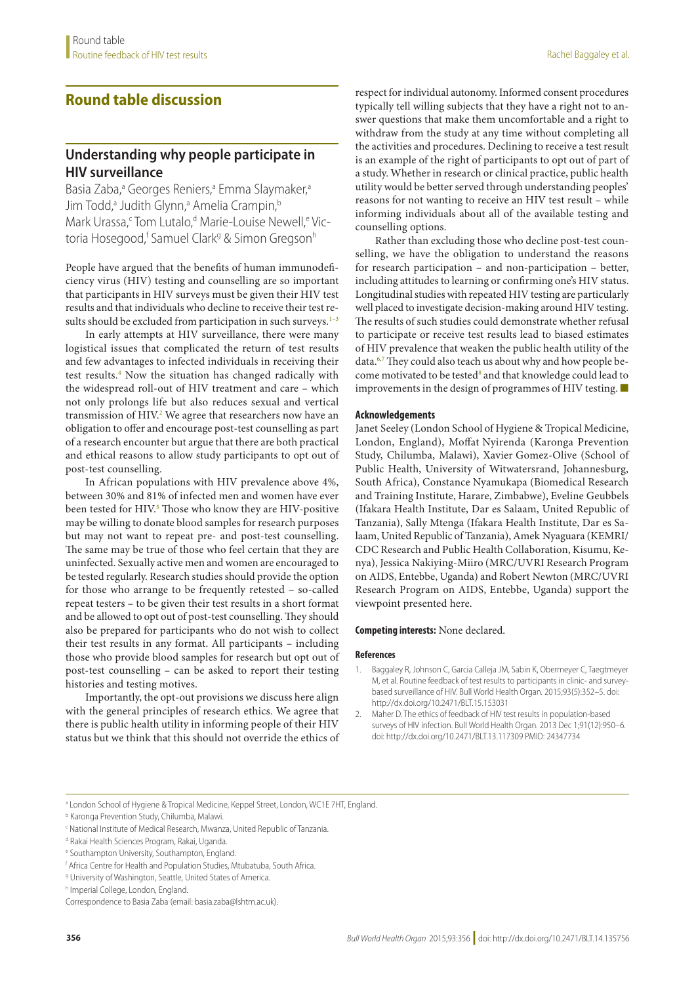# **Round table discussion**

## **Understanding why people participate in HIV surveillance**

Basia Zaba,<sup>a</sup> Georges Reniers,<sup>a</sup> Emma Slaymaker,<sup>a</sup> Jim Todd,<sup>a</sup> Judith Glynn,<sup>a</sup> Amelia Crampin,<sup>b</sup> Mark Urassa, Tom Lutalo,<sup>d</sup> Marie-Louise Newell,<sup>e</sup> Victoria Hosegood,<sup>f</sup> Samuel Clark<sup>g</sup> & Simon Gregson<sup>h</sup>

People have argued that the benefits of human immunodeficiency virus (HIV) testing and counselling are so important that participants in HIV surveys must be given their HIV test results and that individuals who decline to receive their test re-sults should be excluded from participation in such surveys.<sup>[1](#page--1-0)-3</sup>

In early attempts at HIV surveillance, there were many logistical issues that complicated the return of test results and few advantages to infected individuals in receiving their test results.[4](#page--1-2) Now the situation has changed radically with the widespread roll-out of HIV treatment and care – which not only prolongs life but also reduces sexual and vertical transmission of HIV[.2](#page--1-3) We agree that researchers now have an obligation to offer and encourage post-test counselling as part of a research encounter but argue that there are both practical and ethical reasons to allow study participants to opt out of post-test counselling.

In African populations with HIV prevalence above 4%, between 30% and 81% of infected men and women have ever been tested for HIV.<sup>[5](#page--1-4)</sup> Those who know they are HIV-positive may be willing to donate blood samples for research purposes but may not want to repeat pre- and post-test counselling. The same may be true of those who feel certain that they are uninfected. Sexually active men and women are encouraged to be tested regularly. Research studies should provide the option for those who arrange to be frequently retested – so-called repeat testers – to be given their test results in a short format and be allowed to opt out of post-test counselling. They should also be prepared for participants who do not wish to collect their test results in any format. All participants – including those who provide blood samples for research but opt out of post-test counselling – can be asked to report their testing histories and testing motives.

Importantly, the opt-out provisions we discuss here align with the general principles of research ethics. We agree that there is public health utility in informing people of their HIV status but we think that this should not override the ethics of respect for individual autonomy. Informed consent procedures typically tell willing subjects that they have a right not to answer questions that make them uncomfortable and a right to withdraw from the study at any time without completing all the activities and procedures. Declining to receive a test result is an example of the right of participants to opt out of part of a study. Whether in research or clinical practice, public health utility would be better served through understanding peoples' reasons for not wanting to receive an HIV test result – while informing individuals about all of the available testing and counselling options.

Rather than excluding those who decline post-test counselling, we have the obligation to understand the reasons for research participation – and non-participation – better, including attitudes to learning or confirming one's HIV status. Longitudinal studies with repeated HIV testing are particularly well placed to investigate decision-making around HIV testing. The results of such studies could demonstrate whether refusal to participate or receive test results lead to biased estimates of HIV prevalence that weaken the public health utility of the data.[6](#page--1-5),[7](#page--1-6) They could also teach us about why and how people become motivated to be tested<sup>8</sup> and that knowledge could lead to improvements in the design of programmes of HIV testing. ■

### **Acknowledgements**

Janet Seeley (London School of Hygiene & Tropical Medicine, London, England), Moffat Nyirenda (Karonga Prevention Study, Chilumba, Malawi), Xavier Gomez-Olive (School of Public Health, University of Witwatersrand, Johannesburg, South Africa), Constance Nyamukapa (Biomedical Research and Training Institute, Harare, Zimbabwe), Eveline Geubbels (Ifakara Health Institute, Dar es Salaam, United Republic of Tanzania), Sally Mtenga (Ifakara Health Institute, Dar es Salaam, United Republic of Tanzania), Amek Nyaguara (KEMRI/ CDC Research and Public Health Collaboration, Kisumu, Kenya), Jessica Nakiying-Miiro (MRC/UVRI Research Program on AIDS, Entebbe, Uganda) and Robert Newton (MRC/UVRI Research Program on AIDS, Entebbe, Uganda) support the viewpoint presented here.

#### **Competing interests:** None declared.

#### **References**

- 1. Baggaley R, Johnson C, Garcia Calleja JM, Sabin K, Obermeyer C, Taegtmeyer M, et al. Routine feedback of test results to participants in clinic- and surveybased surveillance of HIV. Bull World Health Organ. 2015;93(5):352–5. doi: <http://dx.doi.org/10.2471/BLT.15.153031>
- 2. Maher D. The ethics of feedback of HIV test results in population-based surveys of HIV infection. Bull World Health Organ. 2013 Dec 1;91(12):950–6. doi: <http://dx.doi.org/10.2471/BLT.13.117309>PMID: [24347734](http://www.ncbi.nlm.nih.gov/pubmed/24347734)

<sup>&</sup>lt;sup>a</sup> London School of Hygiene & Tropical Medicine, Keppel Street, London, WC1E 7HT, England.

b Karonga Prevention Study, Chilumba, Malawi.

<sup>&</sup>lt;sup>c</sup> National Institute of Medical Research, Mwanza, United Republic of Tanzania.

d Rakai Health Sciences Program, Rakai, Uganda.

e Southampton University, Southampton, England.

f Africa Centre for Health and Population Studies, Mtubatuba, South Africa.

<sup>&</sup>lt;sup>9</sup> University of Washington, Seattle, United States of America.

h Imperial College, London, England.

Correspondence to Basia Zaba (email: basia.zaba@lshtm.ac.uk).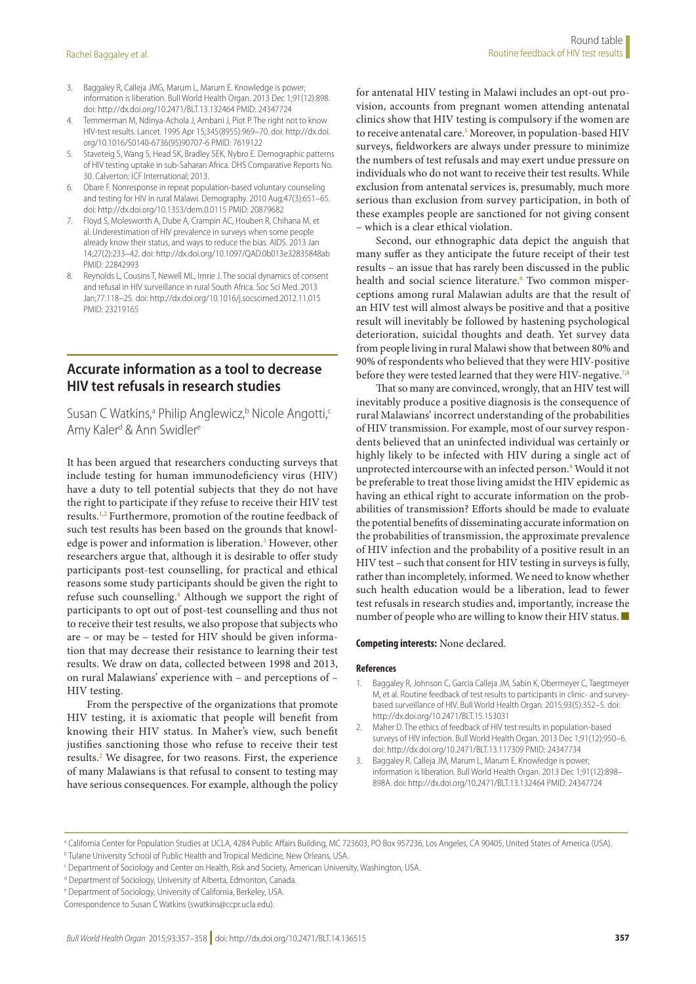- 3. Baggaley R, Calleja JMG, Marum L, Marum E. Knowledge is power; information is liberation. Bull World Health Organ. 2013 Dec 1;91(12):898. doi: <http://dx.doi.org/10.2471/BLT.13.132464>PMID: [24347724](http://www.ncbi.nlm.nih.gov/pubmed/24347724)
- 4. Temmerman M, Ndinya-Achola J, Ambani J, Piot P. The right not to know HIV-test results. Lancet. 1995 Apr 15;345(8955):969–70. doi: [http://dx.doi.](http://dx.doi.org/10.1016/S0140-6736(95)90707-6) [org/10.1016/S0140-6736\(95\)90707-6](http://dx.doi.org/10.1016/S0140-6736(95)90707-6) PMID: [7619122](http://www.ncbi.nlm.nih.gov/pubmed/7619122)
- 5. Staveteig S, Wang S, Head SK, Bradley SEK, Nybro E. Demographic patterns of HIV testing uptake in sub-Saharan Africa. DHS Comparative Reports No. 30. Calverton: ICF International; 2013.
- 6. Obare F. Nonresponse in repeat population-based voluntary counseling and testing for HIV in rural Malawi. Demography. 2010 Aug;47(3):651–65. doi: <http://dx.doi.org/10.1353/dem.0.0115> PMID: [20879682](http://www.ncbi.nlm.nih.gov/pubmed/20879682)
- Floyd S, Molesworth A, Dube A, Crampin AC, Houben R, Chihana M, et al. Underestimation of HIV prevalence in surveys when some people already know their status, and ways to reduce the bias. AIDS. 2013 Jan 14;27(2):233–42. doi: <http://dx.doi.org/10.1097/QAD.0b013e32835848ab> PMID: [22842993](http://www.ncbi.nlm.nih.gov/pubmed/22842993)
- 8. Reynolds L, Cousins T, Newell ML, Imrie J. The social dynamics of consent and refusal in HIV surveillance in rural South Africa. Soc Sci Med. 2013 Jan;77:118–25. doi:<http://dx.doi.org/10.1016/j.socscimed.2012.11.015> PMID: [23219165](http://www.ncbi.nlm.nih.gov/pubmed/23219165)

# **Accurate information as a tool to decrease HIV test refusals in research studies**

Susan C Watkins,<sup>a</sup> Philip Anglewicz,<sup>b</sup> Nicole Angotti,<sup>c</sup> Amy Kaler<sup>d</sup> & Ann Swidler<sup>e</sup>

It has been argued that researchers conducting surveys that include testing for human immunodeficiency virus (HIV) have a duty to tell potential subjects that they do not have the right to participate if they refuse to receive their HIV test results.<sup>[1,](#page--1-0)[2](#page--1-3)</sup> Furthermore, promotion of the routine feedback of such test results has been based on the grounds that knowledge is power and information is liberation.<sup>3</sup> However, other researchers argue that, although it is desirable to offer study participants post-test counselling, for practical and ethical reasons some study participants should be given the right to refuse such counselling[.4](#page--1-2) Although we support the right of participants to opt out of post-test counselling and thus not to receive their test results, we also propose that subjects who are – or may be – tested for HIV should be given information that may decrease their resistance to learning their test results. We draw on data, collected between 1998 and 2013, on rural Malawians' experience with – and perceptions of – HIV testing.

From the perspective of the organizations that promote HIV testing, it is axiomatic that people will benefit from knowing their HIV status. In Maher's view, such benefit justifies sanctioning those who refuse to receive their test results.<sup>[2](#page--1-3)</sup> We disagree, for two reasons. First, the experience of many Malawians is that refusal to consent to testing may have serious consequences. For example, although the policy

for antenatal HIV testing in Malawi includes an opt-out provision, accounts from pregnant women attending antenatal clinics show that HIV testing is compulsory if the women are to receive antenatal care.<sup>5</sup> Moreover, in population-based HIV surveys, fieldworkers are always under pressure to minimize the numbers of test refusals and may exert undue pressure on individuals who do not want to receive their test results. While exclusion from antenatal services is, presumably, much more serious than exclusion from survey participation, in both of these examples people are sanctioned for not giving consent – which is a clear ethical violation.

Second, our ethnographic data depict the anguish that many suffer as they anticipate the future receipt of their test results – an issue that has rarely been discussed in the public health and social science literature.<sup>[6](#page--1-5)</sup> Two common misperceptions among rural Malawian adults are that the result of an HIV test will almost always be positive and that a positive result will inevitably be followed by hastening psychological deterioration, suicidal thoughts and death. Yet survey data from people living in rural Malawi show that between 80% and 90% of respondents who believed that they were HIV-positive before they were tested learned that they were HIV-negative.<sup>7,[8](#page--1-7)</sup>

That so many are convinced, wrongly, that an HIV test will inevitably produce a positive diagnosis is the consequence of rural Malawians' incorrect understanding of the probabilities of HIV transmission. For example, most of our survey respondents believed that an uninfected individual was certainly or highly likely to be infected with HIV during a single act of unprotected intercourse with an infected person.<sup>8</sup> Would it not be preferable to treat those living amidst the HIV epidemic as having an ethical right to accurate information on the probabilities of transmission? Efforts should be made to evaluate the potential benefits of disseminating accurate information on the probabilities of transmission, the approximate prevalence of HIV infection and the probability of a positive result in an HIV test – such that consent for HIV testing in surveys is fully, rather than incompletely, informed. We need to know whether such health education would be a liberation, lead to fewer test refusals in research studies and, importantly, increase the number of people who are willing to know their HIV status. ■

### **Competing interests:** None declared.

#### **References**

- 1. Baggaley R, Johnson C, Garcia Calleja JM, Sabin K, Obermeyer C, Taegtmeyer M, et al. Routine feedback of test results to participants in clinic- and surveybased surveillance of HIV. Bull World Health Organ. 2015;93(5):352–5. doi: <http://dx.doi.org/10.2471/BLT.15.153031>
- 2. Maher D. The ethics of feedback of HIV test results in population-based surveys of HIV infection. Bull World Health Organ. 2013 Dec 1;91(12):950–6. doi:<http://dx.doi.org/10.2471/BLT.13.117309> PMID: [24347734](http://www.ncbi.nlm.nih.gov/pubmed/24347734)
- 3. Baggaley R, Calleja JM, Marum L, Marum E. Knowledge is power; information is liberation. Bull World Health Organ. 2013 Dec 1;91(12):898– 898A. doi:<http://dx.doi.org/10.2471/BLT.13.132464> PMID: [24347724](http://www.ncbi.nlm.nih.gov/pubmed/24347724)

e Department of Sociology, University of California, Berkeley, USA.

a California Center for Population Studies at UCLA, 4284 Public Affairs Building, MC 723603, PO Box 957236, Los Angeles, CA 90405, United States of America (USA).

**<sup>&</sup>lt;sup>b</sup> Tulane University School of Public Health and Tropical Medicine, New Orleans, USA.** 

c Department of Sociology and Center on Health, Risk and Society, American University, Washington, USA.

<sup>&</sup>lt;sup>d</sup> Department of Sociology, University of Alberta, Edmonton, Canada.

Correspondence to Susan C Watkins (swatkins@ccpr.ucla.edu).